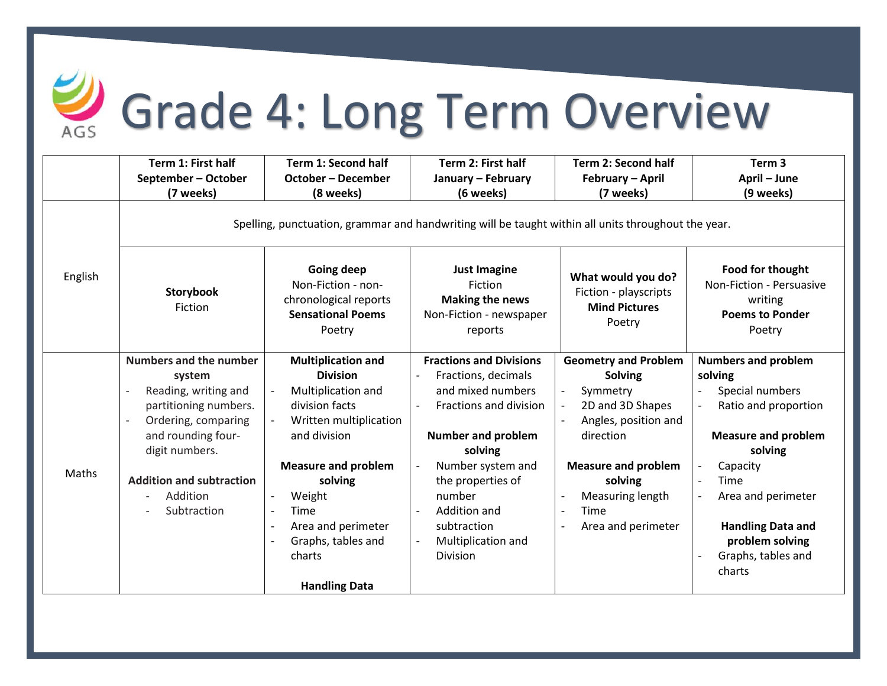

## Grade 4: Long Term Overview

|         | Term 1: First half                                                                                  | <b>Term 1: Second half</b>                                                                      | Term 2: First half                                                                             | <b>Term 2: Second half</b>                                                    | Term <sub>3</sub>                                                                           |  |  |  |
|---------|-----------------------------------------------------------------------------------------------------|-------------------------------------------------------------------------------------------------|------------------------------------------------------------------------------------------------|-------------------------------------------------------------------------------|---------------------------------------------------------------------------------------------|--|--|--|
|         | September - October                                                                                 | <b>October - December</b>                                                                       | January - February                                                                             | February - April                                                              | April - June                                                                                |  |  |  |
|         | (7 weeks)                                                                                           | (8 weeks)                                                                                       | (6 weeks)                                                                                      | (7 weeks)                                                                     | (9 weeks)                                                                                   |  |  |  |
|         | Spelling, punctuation, grammar and handwriting will be taught within all units throughout the year. |                                                                                                 |                                                                                                |                                                                               |                                                                                             |  |  |  |
| English | Storybook<br>Fiction                                                                                | Going deep<br>Non-Fiction - non-<br>chronological reports<br><b>Sensational Poems</b><br>Poetry | <b>Just Imagine</b><br>Fiction<br><b>Making the news</b><br>Non-Fiction - newspaper<br>reports | What would you do?<br>Fiction - playscripts<br><b>Mind Pictures</b><br>Poetry | Food for thought<br>Non-Fiction - Persuasive<br>writing<br><b>Poems to Ponder</b><br>Poetry |  |  |  |
|         | <b>Numbers and the number</b>                                                                       | <b>Multiplication and</b>                                                                       | <b>Fractions and Divisions</b>                                                                 | <b>Geometry and Problem</b>                                                   | <b>Numbers and problem</b>                                                                  |  |  |  |
| Maths   | system                                                                                              | <b>Division</b>                                                                                 | Fractions, decimals                                                                            | <b>Solving</b>                                                                | solving                                                                                     |  |  |  |
|         | Reading, writing and                                                                                | Multiplication and                                                                              | and mixed numbers                                                                              | Symmetry                                                                      | Special numbers                                                                             |  |  |  |
|         | partitioning numbers.                                                                               | division facts                                                                                  | Fractions and division                                                                         | 2D and 3D Shapes                                                              | Ratio and proportion                                                                        |  |  |  |
|         | Ordering, comparing                                                                                 | Written multiplication                                                                          |                                                                                                | Angles, position and<br>$\overline{a}$                                        |                                                                                             |  |  |  |
|         | and rounding four-                                                                                  | and division                                                                                    | <b>Number and problem</b>                                                                      | direction                                                                     | <b>Measure and problem</b>                                                                  |  |  |  |
|         | digit numbers.                                                                                      |                                                                                                 | solving                                                                                        |                                                                               | solving                                                                                     |  |  |  |
|         |                                                                                                     | <b>Measure and problem</b>                                                                      | Number system and                                                                              | <b>Measure and problem</b>                                                    | Capacity                                                                                    |  |  |  |
|         | <b>Addition and subtraction</b>                                                                     | solving                                                                                         | the properties of                                                                              | solving                                                                       | Time                                                                                        |  |  |  |
|         | Addition                                                                                            | Weight                                                                                          | number                                                                                         | Measuring length                                                              | Area and perimeter                                                                          |  |  |  |
|         | Subtraction                                                                                         | Time<br>$\overline{\phantom{a}}$                                                                | Addition and                                                                                   | Time<br>$\overline{\phantom{a}}$                                              |                                                                                             |  |  |  |
|         |                                                                                                     | Area and perimeter                                                                              | subtraction                                                                                    | Area and perimeter                                                            | <b>Handling Data and</b>                                                                    |  |  |  |
|         |                                                                                                     | Graphs, tables and                                                                              | Multiplication and                                                                             |                                                                               | problem solving                                                                             |  |  |  |
|         |                                                                                                     | charts                                                                                          | Division                                                                                       |                                                                               | Graphs, tables and                                                                          |  |  |  |
|         |                                                                                                     |                                                                                                 |                                                                                                |                                                                               | charts                                                                                      |  |  |  |
|         |                                                                                                     | <b>Handling Data</b>                                                                            |                                                                                                |                                                                               |                                                                                             |  |  |  |